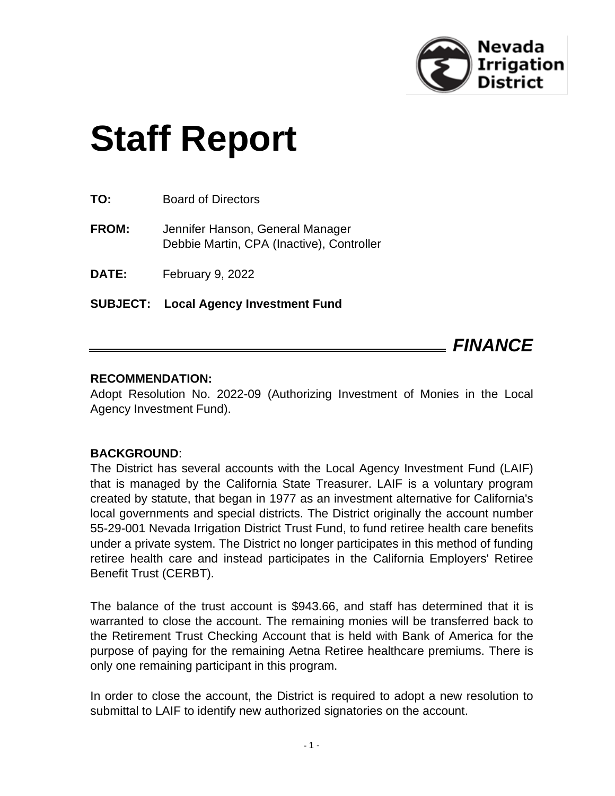

# **Staff Report**

**TO:** Board of Directors

**FROM:** Jennifer Hanson, General Manager Debbie Martin, CPA (Inactive), Controller

**DATE:** February 9, 2022

**SUBJECT: Local Agency Investment Fund**

*FINANCE*

#### **RECOMMENDATION:**

Adopt Resolution No. 2022-09 (Authorizing Investment of Monies in the Local Agency Investment Fund).

#### **BACKGROUND**:

The District has several accounts with the Local Agency Investment Fund (LAIF) that is managed by the California State Treasurer. LAIF is a voluntary program created by statute, that began in 1977 as an investment alternative for California's local governments and special districts. The District originally the account number 55-29-001 Nevada Irrigation District Trust Fund, to fund retiree health care benefits under a private system. The District no longer participates in this method of funding retiree health care and instead participates in the California Employers' Retiree Benefit Trust (CERBT).

The balance of the trust account is \$943.66, and staff has determined that it is warranted to close the account. The remaining monies will be transferred back to the Retirement Trust Checking Account that is held with Bank of America for the purpose of paying for the remaining Aetna Retiree healthcare premiums. There is only one remaining participant in this program.

In order to close the account, the District is required to adopt a new resolution to submittal to LAIF to identify new authorized signatories on the account.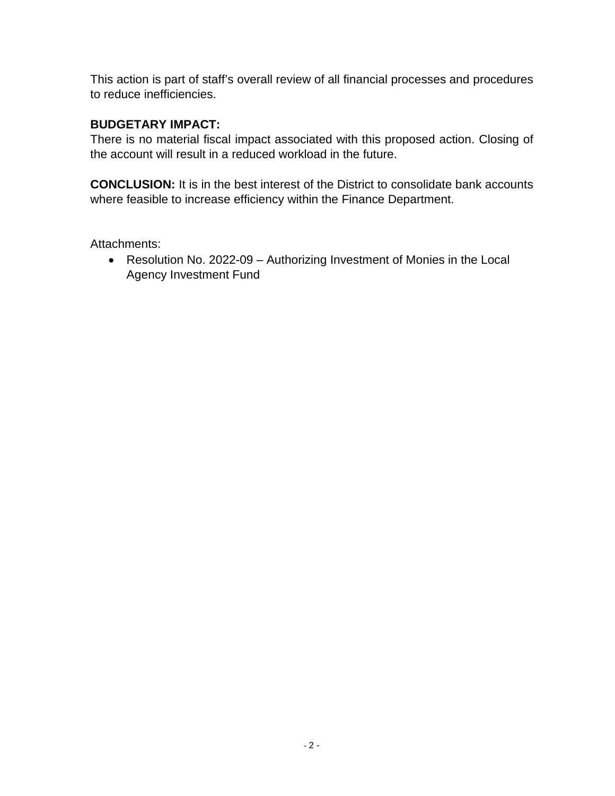This action is part of staff's overall review of all financial processes and procedures to reduce inefficiencies.

#### **BUDGETARY IMPACT:**

There is no material fiscal impact associated with this proposed action. Closing of the account will result in a reduced workload in the future.

**CONCLUSION:** It is in the best interest of the District to consolidate bank accounts where feasible to increase efficiency within the Finance Department.

Attachments:

• Resolution No. 2022-09 – Authorizing Investment of Monies in the Local Agency Investment Fund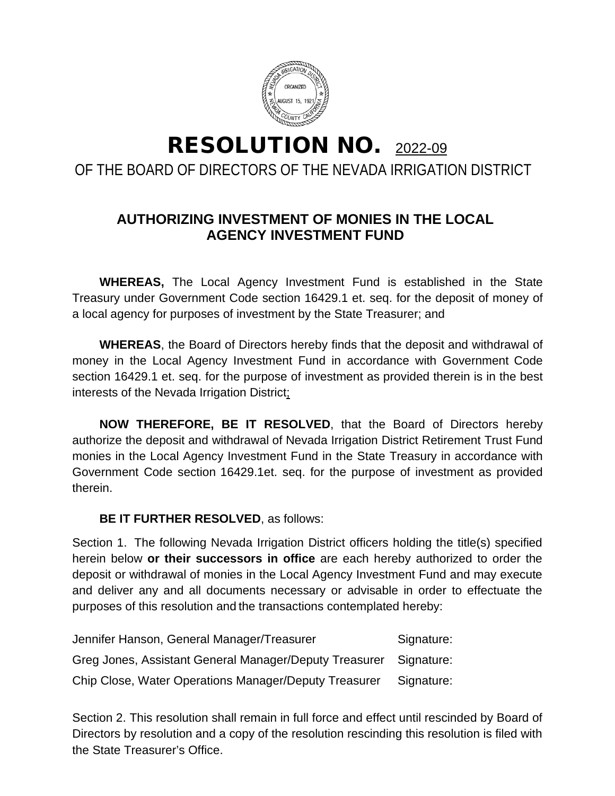

## RESOLUTION NO. 2022-09 OF THE BOARD OF DIRECTORS OF THE NEVADA IRRIGATION DISTRICT

### **AUTHORIZING INVESTMENT OF MONIES IN THE LOCAL AGENCY INVESTMENT FUND**

**WHEREAS,** The Local Agency Investment Fund is established in the State Treasury under Government Code section 16429.1 et. seq. for the deposit of money of a local agency for purposes of investment by the State Treasurer; and

**WHEREAS**, the Board of Directors hereby finds that the deposit and withdrawal of money in the Local Agency Investment Fund in accordance with Government Code section 16429.1 et. seq. for the purpose of investment as provided therein is in the best interests of the Nevada Irrigation District;

**NOW THEREFORE, BE IT RESOLVED**, that the Board of Directors hereby authorize the deposit and withdrawal of Nevada Irrigation District Retirement Trust Fund monies in the Local Agency Investment Fund in the State Treasury in accordance with Government Code section 16429.1et. seq. for the purpose of investment as provided therein.

#### **BE IT FURTHER RESOLVED**, as follows:

Section 1. The following Nevada Irrigation District officers holding the title(s) specified herein below **or their successors in office** are each hereby authorized to order the deposit or withdrawal of monies in the Local Agency Investment Fund and may execute and deliver any and all documents necessary or advisable in order to effectuate the purposes of this resolution and the transactions contemplated hereby:

| Jennifer Hanson, General Manager/Treasurer             | Signature: |
|--------------------------------------------------------|------------|
| Greg Jones, Assistant General Manager/Deputy Treasurer | Signature: |
| Chip Close, Water Operations Manager/Deputy Treasurer  | Signature: |

Section 2. This resolution shall remain in full force and effect until rescinded by Board of Directors by resolution and a copy of the resolution rescinding this resolution is filed with the State Treasurer's Office.